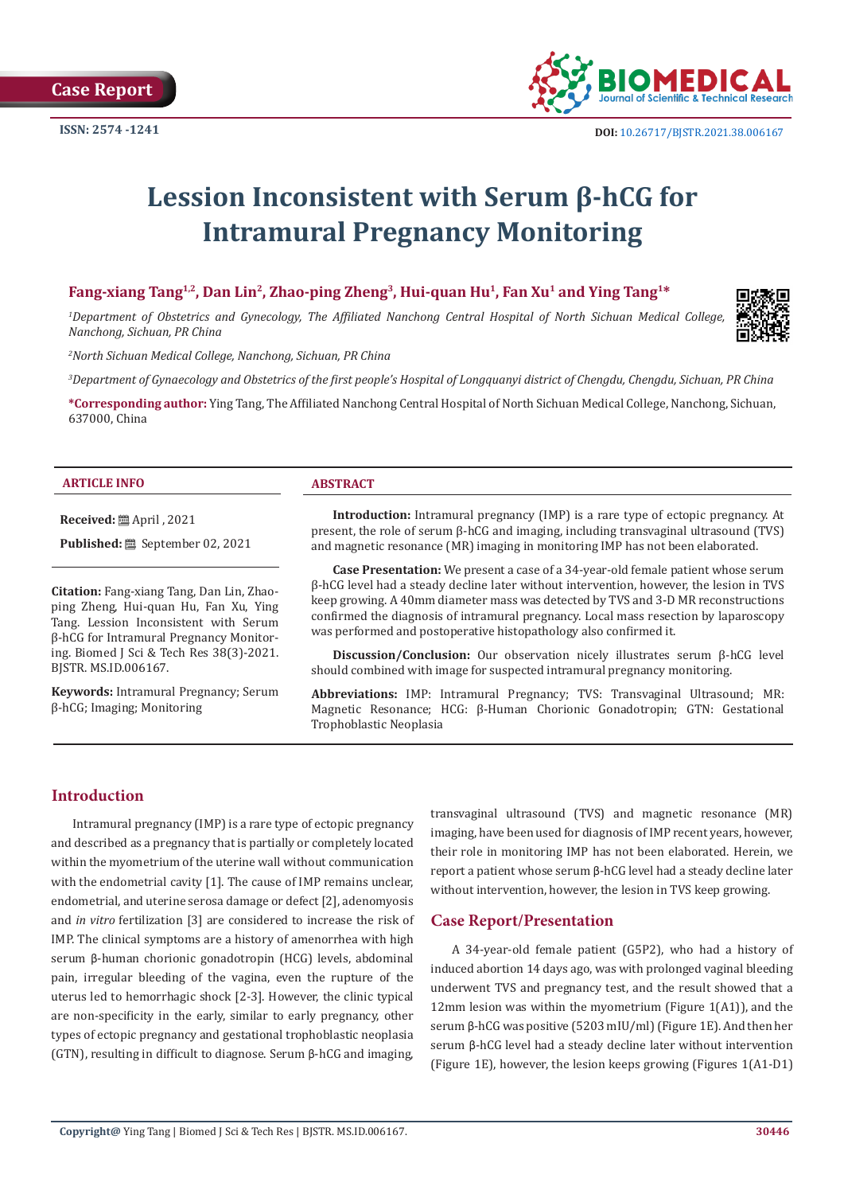

# **Lession Inconsistent with Serum β-hCG for Intramural Pregnancy Monitoring**

# **Fang-xiang Tang1,2, Dan Lin2, Zhao-ping Zheng3, Hui-quan Hu1, Fan Xu1 and Ying Tang1\***

*1 Department of Obstetrics and Gynecology, The Affiliated Nanchong Central Hospital of North Sichuan Medical College, Nanchong, Sichuan, PR China* 

*2 North Sichuan Medical College, Nanchong, Sichuan, PR China* 

*3 Department of Gynaecology and Obstetrics of the first people's Hospital of Longquanyi district of Chengdu, Chengdu, Sichuan, PR China*

**\*Corresponding author:** Ying Tang, The Affiliated Nanchong Central Hospital of North Sichuan Medical College, Nanchong, Sichuan, 637000, China

#### **ARTICLE INFO ABSTRACT**

**Received:** April , 2021

**Published:** September 02, 2021

**Citation:** Fang-xiang Tang, Dan Lin, Zhaoping Zheng, Hui-quan Hu, Fan Xu, Ying Tang. Lession Inconsistent with Serum β-hCG for Intramural Pregnancy Monitoring. Biomed J Sci & Tech Res 38(3)-2021. BJSTR. MS.ID.006167.

**Keywords:** Intramural Pregnancy; Serum β-hCG; Imaging; Monitoring

**Introduction:** Intramural pregnancy (IMP) is a rare type of ectopic pregnancy. At present, the role of serum β-hCG and imaging, including transvaginal ultrasound (TVS) and magnetic resonance (MR) imaging in monitoring IMP has not been elaborated.

**Case Presentation:** We present a case of a 34-year-old female patient whose serum β-hCG level had a steady decline later without intervention, however, the lesion in TVS keep growing. A 40mm diameter mass was detected by TVS and 3-D MR reconstructions confirmed the diagnosis of intramural pregnancy. Local mass resection by laparoscopy was performed and postoperative histopathology also confirmed it.

**Discussion/Conclusion:** Our observation nicely illustrates serum β-hCG level should combined with image for suspected intramural pregnancy monitoring.

**Abbreviations:** IMP: Intramural Pregnancy; TVS: Transvaginal Ultrasound; MR: Magnetic Resonance; HCG: β-Human Chorionic Gonadotropin; GTN: Gestational Trophoblastic Neoplasia

# **Introduction**

Intramural pregnancy (IMP) is a rare type of ectopic pregnancy and described as a pregnancy that is partially or completely located within the myometrium of the uterine wall without communication with the endometrial cavity [1]. The cause of IMP remains unclear, endometrial, and uterine serosa damage or defect [2], adenomyosis and *in vitro* fertilization [3] are considered to increase the risk of IMP. The clinical symptoms are a history of amenorrhea with high serum β-human chorionic gonadotropin (HCG) levels, abdominal pain, irregular bleeding of the vagina, even the rupture of the uterus led to hemorrhagic shock [2-3]. However, the clinic typical are non-specificity in the early, similar to early pregnancy, other types of ectopic pregnancy and gestational trophoblastic neoplasia (GTN), resulting in difficult to diagnose. Serum β-hCG and imaging,

transvaginal ultrasound (TVS) and magnetic resonance (MR) imaging, have been used for diagnosis of IMP recent years, however, their role in monitoring IMP has not been elaborated. Herein, we report a patient whose serum β-hCG level had a steady decline later without intervention, however, the lesion in TVS keep growing.

#### **Case Report/Presentation**

A 34-year-old female patient (G5P2), who had a history of induced abortion 14 days ago, was with prolonged vaginal bleeding underwent TVS and pregnancy test, and the result showed that a 12mm lesion was within the myometrium (Figure 1(A1)), and the serum β-hCG was positive (5203 mIU/ml) (Figure 1E). And then her serum β-hCG level had a steady decline later without intervention (Figure 1E), however, the lesion keeps growing (Figures 1(A1-D1)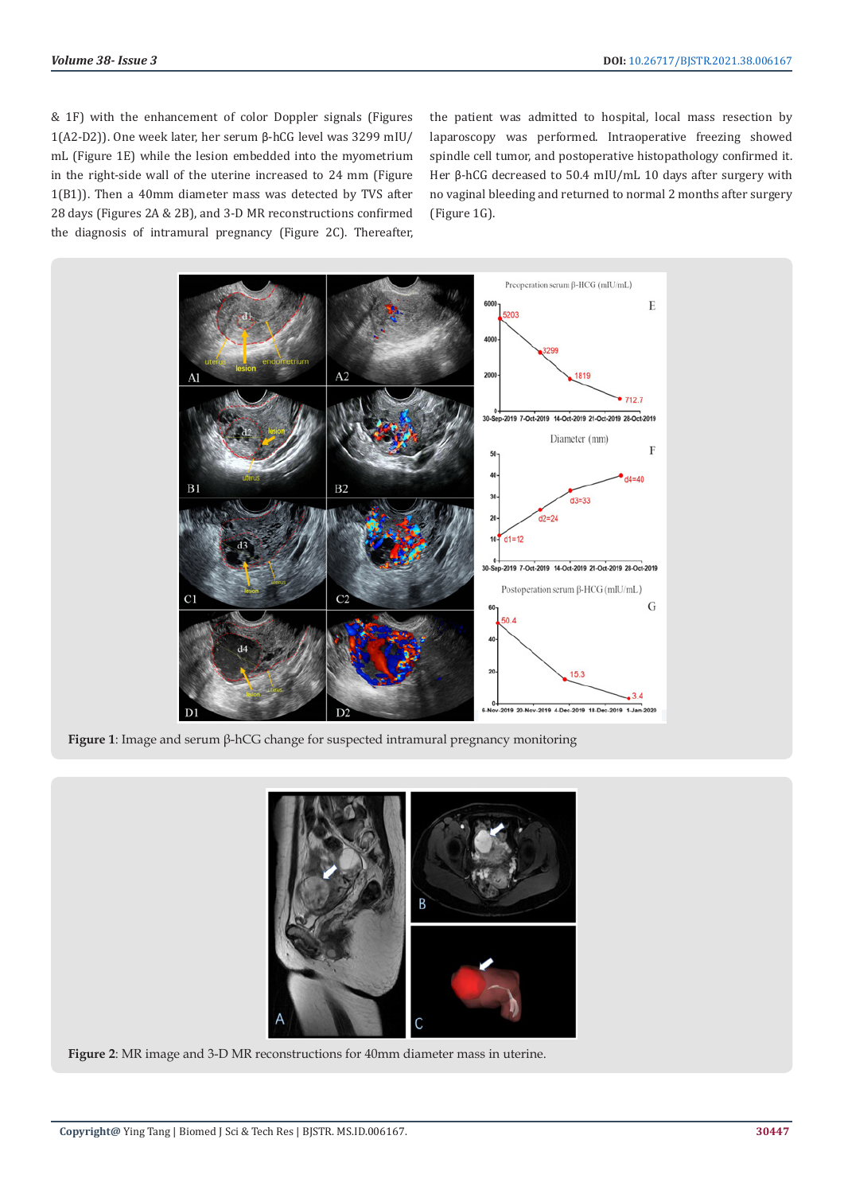& 1F) with the enhancement of color Doppler signals (Figures 1(A2-D2)). One week later, her serum β-hCG level was 3299 mIU/ mL (Figure 1E) while the lesion embedded into the myometrium in the right-side wall of the uterine increased to 24 mm (Figure 1(B1)). Then a 40mm diameter mass was detected by TVS after 28 days (Figures 2A & 2B), and 3-D MR reconstructions confirmed the diagnosis of intramural pregnancy (Figure 2C). Thereafter, the patient was admitted to hospital, local mass resection by laparoscopy was performed. Intraoperative freezing showed spindle cell tumor, and postoperative histopathology confirmed it. Her β-hCG decreased to 50.4 mIU/mL 10 days after surgery with no vaginal bleeding and returned to normal 2 months after surgery (Figure 1G).



**Figure 1**: Image and serum β-hCG change for suspected intramural pregnancy monitoring



**Figure 2**: MR image and 3-D MR reconstructions for 40mm diameter mass in uterine.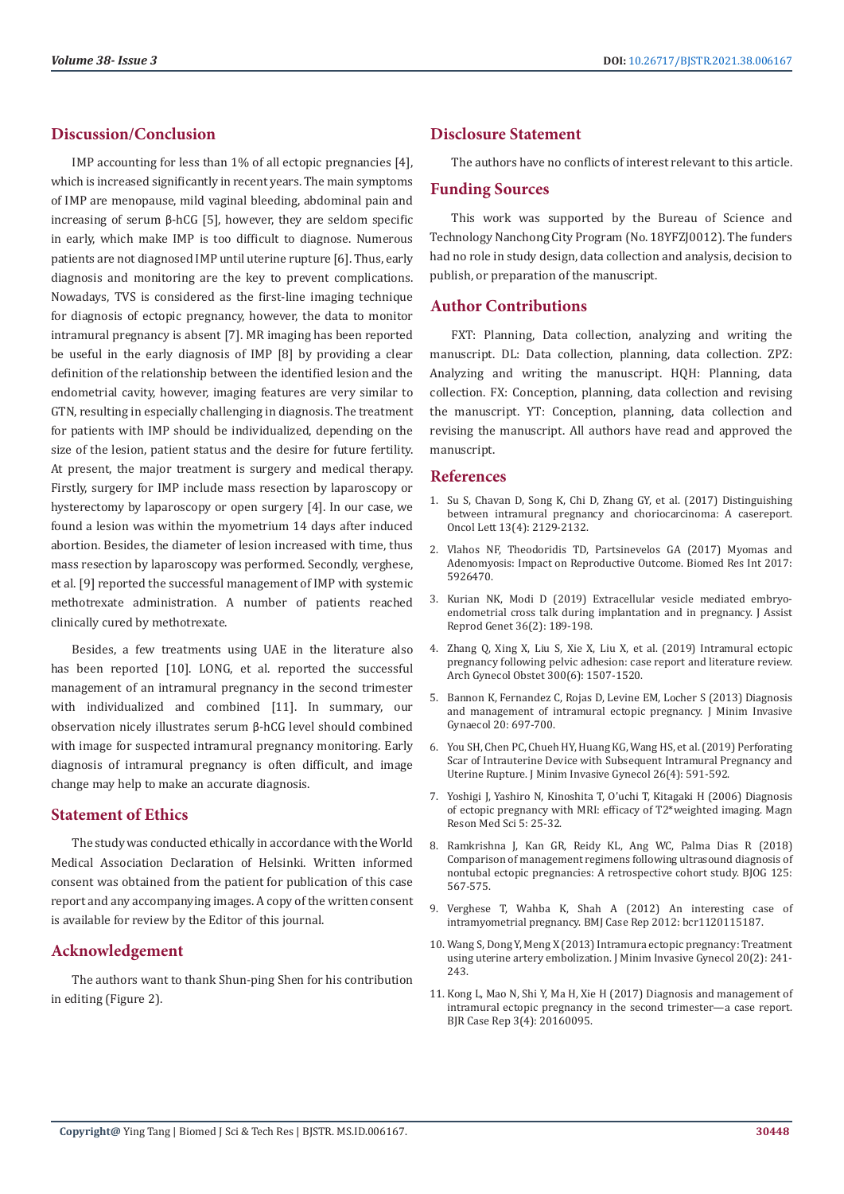# **Discussion/Conclusion**

IMP accounting for less than 1% of all ectopic pregnancies [4], which is increased significantly in recent years. The main symptoms of IMP are menopause, mild vaginal bleeding, abdominal pain and increasing of serum β-hCG [5], however, they are seldom specific in early, which make IMP is too difficult to diagnose. Numerous patients are not diagnosed IMP until uterine rupture [6]. Thus, early diagnosis and monitoring are the key to prevent complications. Nowadays, TVS is considered as the first-line imaging technique for diagnosis of ectopic pregnancy, however, the data to monitor intramural pregnancy is absent [7]. MR imaging has been reported be useful in the early diagnosis of IMP [8] by providing a clear definition of the relationship between the identified lesion and the endometrial cavity, however, imaging features are very similar to GTN, resulting in especially challenging in diagnosis. The treatment for patients with IMP should be individualized, depending on the size of the lesion, patient status and the desire for future fertility. At present, the major treatment is surgery and medical therapy. Firstly, surgery for IMP include mass resection by laparoscopy or hysterectomy by laparoscopy or open surgery [4]. In our case, we found a lesion was within the myometrium 14 days after induced abortion. Besides, the diameter of lesion increased with time, thus mass resection by laparoscopy was performed. Secondly, verghese, et al. [9] reported the successful management of IMP with systemic methotrexate administration. A number of patients reached clinically cured by methotrexate.

Besides, a few treatments using UAE in the literature also has been reported [10]. LONG, et al. reported the successful management of an intramural pregnancy in the second trimester with individualized and combined [11]. In summary, our observation nicely illustrates serum β-hCG level should combined with image for suspected intramural pregnancy monitoring. Early diagnosis of intramural pregnancy is often difficult, and image change may help to make an accurate diagnosis.

#### **Statement of Ethics**

The study was conducted ethically in accordance with the World Medical Association Declaration of Helsinki. Written informed consent was obtained from the patient for publication of this case report and any accompanying images. A copy of the written consent is available for review by the Editor of this journal.

# **Acknowledgement**

The authors want to thank Shun-ping Shen for his contribution in editing (Figure 2).

# **Disclosure Statement**

The authors have no conflicts of interest relevant to this article.

## **Funding Sources**

This work was supported by the Bureau of Science and Technology Nanchong City Program (No. 18YFZJ0012). The funders had no role in study design, data collection and analysis, decision to publish, or preparation of the manuscript.

## **Author Contributions**

FXT: Planning, Data collection, analyzing and writing the manuscript. DL: Data collection, planning, data collection. ZPZ: Analyzing and writing the manuscript. HQH: Planning, data collection. FX: Conception, planning, data collection and revising the manuscript. YT: Conception, planning, data collection and revising the manuscript. All authors have read and approved the manuscript.

#### **References**

- 1. [Su S, Chavan D, Song K, Chi D, Zhang GY, et al. \(2017\) Distinguishing](https://pubmed.ncbi.nlm.nih.gov/28454372/) [between intramural pregnancy and choriocarcinoma: A casereport.](https://pubmed.ncbi.nlm.nih.gov/28454372/) [Oncol Lett 13\(4\): 2129-2132.](https://pubmed.ncbi.nlm.nih.gov/28454372/)
- 2. [Vlahos NF, Theodoridis TD, Partsinevelos GA \(2017\) Myomas and](https://pubmed.ncbi.nlm.nih.gov/29234680/) [Adenomyosis: Impact on Reproductive Outcome. Biomed Res Int 2017:](https://pubmed.ncbi.nlm.nih.gov/29234680/) [5926470.](https://pubmed.ncbi.nlm.nih.gov/29234680/)
- 3. [Kurian NK, Modi D \(2019\) Extracellular vesicle mediated embryo](https://pubmed.ncbi.nlm.nih.gov/30362057/)[endometrial cross talk during implantation and in pregnancy. J Assist](https://pubmed.ncbi.nlm.nih.gov/30362057/) [Reprod Genet 36\(2\): 189-198.](https://pubmed.ncbi.nlm.nih.gov/30362057/)
- 4. [Zhang Q, Xing X, Liu S, Xie X, Liu X, et al. \(2019\) Intramural ectopic](https://pubmed.ncbi.nlm.nih.gov/31729562/) [pregnancy following pelvic adhesion: case report and literature review.](https://pubmed.ncbi.nlm.nih.gov/31729562/) [Arch Gynecol Obstet 300\(6\): 1507-1520.](https://pubmed.ncbi.nlm.nih.gov/31729562/)
- 5. [Bannon K, Fernandez C, Rojas D, Levine EM, Locher S \(2013\) Diagnosis](https://obgyn.onlinelibrary.wiley.com/doi/10.1002/uog.12437) [and management of intramural ectopic pregnancy. J Minim Invasive](https://obgyn.onlinelibrary.wiley.com/doi/10.1002/uog.12437) [Gynaecol 20: 697-700.](https://obgyn.onlinelibrary.wiley.com/doi/10.1002/uog.12437)
- 6. [You SH, Chen PC, Chueh HY, Huang KG, Wang HS, et al. \(2019\) Perforating](https://pubmed.ncbi.nlm.nih.gov/30218710/) [Scar of Intrauterine Device with Subsequent Intramural Pregnancy and](https://pubmed.ncbi.nlm.nih.gov/30218710/) [Uterine Rupture. J Minim Invasive Gynecol 26\(4\): 591-592.](https://pubmed.ncbi.nlm.nih.gov/30218710/)
- 7. [Yoshigi J, Yashiro N, Kinoshita T, O'uchi T, Kitagaki H \(2006\) Diagnosis](https://pubmed.ncbi.nlm.nih.gov/16785724/) [of ectopic pregnancy with MRI: efficacy of T2\\*weighted imaging. Magn](https://pubmed.ncbi.nlm.nih.gov/16785724/) [Reson Med Sci 5: 25-32.](https://pubmed.ncbi.nlm.nih.gov/16785724/)
- 8. [Ramkrishna J, Kan GR, Reidy KL, Ang WC, Palma Dias R \(2018\)](https://findanexpert.unimelb.edu.au/scholarlywork/1235377-re--comparison-of-management-regimens-following-ultrasound-diagnosis-of-non-tubal-ectopic-pregnancies--a-retrospective-cohort-study-reply) [Comparison of management regimens following ultrasound diagnosis of](https://findanexpert.unimelb.edu.au/scholarlywork/1235377-re--comparison-of-management-regimens-following-ultrasound-diagnosis-of-non-tubal-ectopic-pregnancies--a-retrospective-cohort-study-reply) [nontubal ectopic pregnancies: A retrospective cohort study. BJOG 125:](https://findanexpert.unimelb.edu.au/scholarlywork/1235377-re--comparison-of-management-regimens-following-ultrasound-diagnosis-of-non-tubal-ectopic-pregnancies--a-retrospective-cohort-study-reply) [567-575.](https://findanexpert.unimelb.edu.au/scholarlywork/1235377-re--comparison-of-management-regimens-following-ultrasound-diagnosis-of-non-tubal-ectopic-pregnancies--a-retrospective-cohort-study-reply)
- 9. [Verghese T, Wahba K, Shah A \(2012\) An interesting case of](https://pubmed.ncbi.nlm.nih.gov/22605595/) [intramyometrial pregnancy. BMJ Case Rep 2012: bcr1120115187.](https://pubmed.ncbi.nlm.nih.gov/22605595/)
- 10. [Wang S, Dong Y, Meng X \(2013\) Intramura ectopic pregnancy: Treatment](https://pubmed.ncbi.nlm.nih.gov/23465260/) [using uterine artery embolization. J Minim Invasive Gynecol 20\(2\): 241-](https://pubmed.ncbi.nlm.nih.gov/23465260/) [243.](https://pubmed.ncbi.nlm.nih.gov/23465260/)
- 11. [Kong L, Mao N, Shi Y, Ma H, Xie H \(2017\) Diagnosis and management of](https://www.ncbi.nlm.nih.gov/pmc/articles/PMC6159175/) [intramural ectopic pregnancy in the second trimester—a case report.](https://www.ncbi.nlm.nih.gov/pmc/articles/PMC6159175/) [BJR Case Rep 3\(4\): 20160095.](https://www.ncbi.nlm.nih.gov/pmc/articles/PMC6159175/)